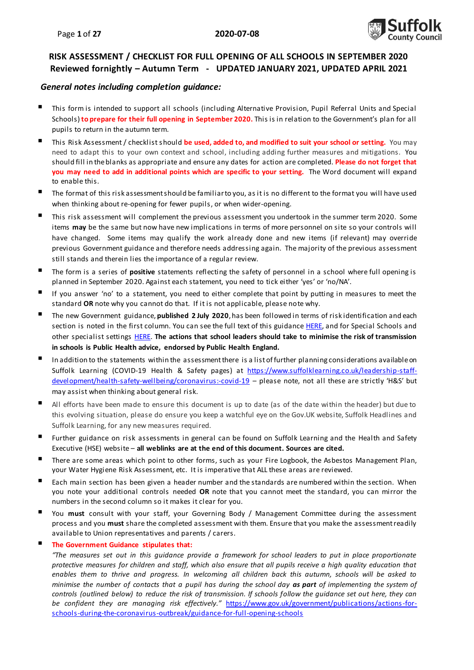

### **RISK ASSESSMENT / CHECKLIST FOR FULL OPENING OF ALL SCHOOLS IN SEPTEMBER 2020 Reviewed fornightly – Autumn Term - UPDATED JANUARY 2021, UPDATED APRIL 2021**

#### *General notes including completion guidance:*

- This form is intended to support all schools (including Alternative Provision, Pupil Referral Units and Special Schools)**to prepare for their full opening in September 2020.** This is in relation to the Government's plan for all pupils to return in the autumn term.
- This Risk Assessment / checklist should **be used, added to, and modified to suit your school or setting.** You may need to adapt this to your own context and school, including adding further measures and mitigations. You should fill in the blanks as appropriate and ensure any dates for action are completed. **Please do not forget that you may need to add in additional points which are specific to your setting.** The Word document will expand to enable this.
- The format of this risk assessment should be familiar to you, as it is no different to the format you will have used when thinking about re-opening for fewer pupils, or when wider-opening.
- This risk assessment will complement the previous assessment you undertook in the summer term 2020. Some items **may** be the same but now have new implications in terms of more personnel on site so your controls will have changed. Some items may qualify the work already done and new items (if relevant) may override previous Government guidance and therefore needs addressing again. The majority of the previous assessment still stands and therein lies the importance of a regular review.
- The form is a series of **positive** statements reflecting the safety of personnel in a school where full opening is planned in September 2020. Against each statement, you need to tick either 'yes' or 'no/NA'.
- If you answer 'no' to a statement, you need to either complete that point by putting in measures to meet the standard **OR** note why you cannot do that. If it is not applicable, please note why.
- The new Government guidance, **published 2 July 2020**, has been followed in terms of risk identification and each section is noted in the first column. You can see the full text of this guidanc[e HERE,](https://www.gov.uk/government/publications/actions-for-schools-during-the-coronavirus-outbreak/guidance-for-full-opening-schools) and for Special Schools and other specialist setting[s HERE](https://www.gov.uk/government/publications/guidance-for-full-opening-special-schools-and-other-specialist-settings). **The actions that school leaders should take to minimise the risk of transmission in schools is Public Health advice, endorsed by Public Health England.**
- In addition to the statements within the assessment there is a list of further planning considerations available on Suffolk Learning (COVID-19 Health & Safety pages) at [https://www.suffolklearning.co.uk/leadership-staff](https://www.suffolklearning.co.uk/leadership-staff-development/health-safety-wellbeing/coronavirus:-covid-19)[development/health-safety-wellbeing/coronavirus:-covid-19](https://www.suffolklearning.co.uk/leadership-staff-development/health-safety-wellbeing/coronavirus:-covid-19) - please note, not all these are strictly 'H&S' but may assist when thinking about general risk.
- All efforts have been made to ensure this document is up to date (as of the date within the header) but due to this evolving situation, please do ensure you keep a watchful eye on the Gov.UK website, Suffolk Headlines and Suffolk Learning, for any new measures required.
- Further guidance on risk assessments in general can be found on Suffolk Learning and the Health and Safety Executive (HSE) website – **all weblinks are at the end of this document. Sources are cited.**
- There are some areas which point to other forms, such as your Fire Logbook, the Asbestos Management Plan, your Water Hygiene Risk Assessment, etc. It is imperative that ALL these areas are reviewed.
- Each main section has been given a header number and the standards are numbered within the section. When you note your additional controls needed **OR** note that you cannot meet the standard, you can mirror the numbers in the second column so it makes it clear for you.
- You **must** consult with your staff, your Governing Body / Management Committee during the assessment process and you **must** share the completed assessment with them. Ensure that you make the assessment readily available to Union representatives and parents / carers.
- **The Government Guidance stipulates that:**

*"The measures set out in this guidance provide a framework for school leaders to put in place proportionate protective measures for children and staff, which also ensure that all pupils receive a high quality education that enables them to thrive and progress. In welcoming all children back this autumn, schools will be asked to minimise the number of contacts that a pupil has during the school day as part of implementing the system of controls (outlined below) to reduce the risk of transmission. If schools follow the guidance set out here, they can be confident they are managing risk effectively."* [https://www.gov.uk/government/publications/actions-for](https://www.gov.uk/government/publications/actions-for-schools-during-the-coronavirus-outbreak/guidance-for-full-opening-schools)[schools-during-the-coronavirus-outbreak/guidance-for-full-opening-school](https://www.gov.uk/government/publications/actions-for-schools-during-the-coronavirus-outbreak/guidance-for-full-opening-schools)s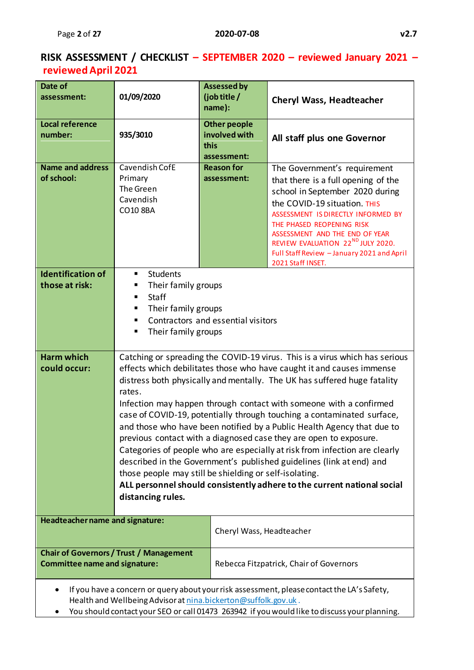# **RISK ASSESSMENT / CHECKLIST – SEPTEMBER 2020 – reviewed January 2021 – reviewed April 2021**

| Date of<br>assessment:                     | 01/09/2020                                                                                                                                      | <b>Assessed by</b><br>(job title /<br>name):                                                                                                                                                                                                                                                                                                                                                                                                                                                                                                                                                                                                                                                                                                                                                                               | <b>Cheryl Wass, Headteacher</b>                                                                                                                                                                                                                                                                                                                                 |  |  |  |  |
|--------------------------------------------|-------------------------------------------------------------------------------------------------------------------------------------------------|----------------------------------------------------------------------------------------------------------------------------------------------------------------------------------------------------------------------------------------------------------------------------------------------------------------------------------------------------------------------------------------------------------------------------------------------------------------------------------------------------------------------------------------------------------------------------------------------------------------------------------------------------------------------------------------------------------------------------------------------------------------------------------------------------------------------------|-----------------------------------------------------------------------------------------------------------------------------------------------------------------------------------------------------------------------------------------------------------------------------------------------------------------------------------------------------------------|--|--|--|--|
| <b>Local reference</b><br>number:          | 935/3010                                                                                                                                        | <b>Other people</b><br>involved with<br>this<br>assessment:                                                                                                                                                                                                                                                                                                                                                                                                                                                                                                                                                                                                                                                                                                                                                                | All staff plus one Governor                                                                                                                                                                                                                                                                                                                                     |  |  |  |  |
| <b>Name and address</b><br>of school:      | Cavendish CofE<br>Primary<br>The Green<br>Cavendish<br>CO10 8BA                                                                                 | <b>Reason for</b><br>assessment:                                                                                                                                                                                                                                                                                                                                                                                                                                                                                                                                                                                                                                                                                                                                                                                           | The Government's requirement<br>that there is a full opening of the<br>school in September 2020 during<br>the COVID-19 situation. THIS<br>ASSESSMENT IS DIRECTLY INFORMED BY<br>THE PHASED REOPENING RISK<br>ASSESSMENT AND THE END OF YEAR<br>REVIEW EVALUATION 22 <sup>ND</sup> JULY 2020.<br>Full Staff Review - January 2021 and April<br>2021 Staff INSET. |  |  |  |  |
| <b>Identification of</b><br>those at risk: | <b>Students</b><br>п<br>Their family groups<br><b>Staff</b><br>Their family groups<br>Contractors and essential visitors<br>Their family groups |                                                                                                                                                                                                                                                                                                                                                                                                                                                                                                                                                                                                                                                                                                                                                                                                                            |                                                                                                                                                                                                                                                                                                                                                                 |  |  |  |  |
| <b>Harm which</b><br>could occur:          | rates.<br>distancing rules.                                                                                                                     | Catching or spreading the COVID-19 virus. This is a virus which has serious<br>effects which debilitates those who have caught it and causes immense<br>distress both physically and mentally. The UK has suffered huge fatality<br>Infection may happen through contact with someone with a confirmed<br>case of COVID-19, potentially through touching a contaminated surface,<br>and those who have been notified by a Public Health Agency that due to<br>previous contact with a diagnosed case they are open to exposure.<br>Categories of people who are especially at risk from infection are clearly<br>described in the Government's published guidelines (link at end) and<br>those people may still be shielding or self-isolating.<br>ALL personnel should consistently adhere to the current national social |                                                                                                                                                                                                                                                                                                                                                                 |  |  |  |  |
| Headteacher name and signature:            |                                                                                                                                                 | Cheryl Wass, Headteacher                                                                                                                                                                                                                                                                                                                                                                                                                                                                                                                                                                                                                                                                                                                                                                                                   |                                                                                                                                                                                                                                                                                                                                                                 |  |  |  |  |
| <b>Committee name and signature:</b>       | <b>Chair of Governors / Trust / Management</b>                                                                                                  |                                                                                                                                                                                                                                                                                                                                                                                                                                                                                                                                                                                                                                                                                                                                                                                                                            | Rebecca Fitzpatrick, Chair of Governors                                                                                                                                                                                                                                                                                                                         |  |  |  |  |
|                                            | Health and Wellbeing Advisor at nina.bickerton@suffolk.gov.uk.                                                                                  |                                                                                                                                                                                                                                                                                                                                                                                                                                                                                                                                                                                                                                                                                                                                                                                                                            | If you have a concern or query about your risk assessment, please contact the LA's Safety,                                                                                                                                                                                                                                                                      |  |  |  |  |

You should contact your SEO or call 01473 263942 if you would like to discuss your planning.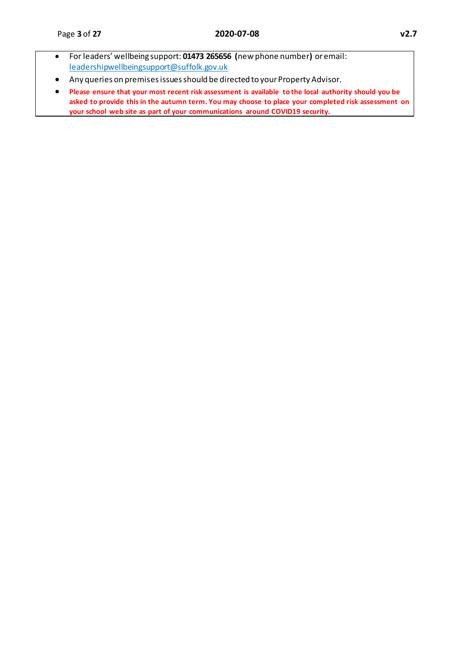- For leaders' wellbeing support: **01473 265656 (**new phone number**)** or email: [leadershipwellbeingsupport@suffolk.gov.uk](mailto:leadershipwellbeingsupport@suffolk.gov.uk)
- Any queries on premises issues should be directed to your Property Advisor.
- **Please ensure that your most recent risk assessment is available to the local authority should you be asked to provide this in the autumn term. You may choose to place your completed risk assessment on your school web site as part of your communications around COVID19 security.**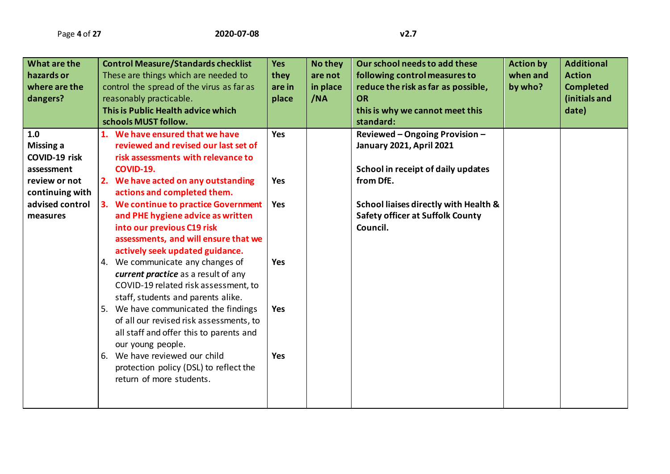| What are the     | <b>Control Measure/Standards checklist</b> | <b>Yes</b> | No they  | Our school needs to add these           | <b>Action by</b> | <b>Additional</b> |
|------------------|--------------------------------------------|------------|----------|-----------------------------------------|------------------|-------------------|
| hazards or       | These are things which are needed to       | they       | are not  | following control measures to           | when and         | <b>Action</b>     |
|                  |                                            |            |          |                                         |                  |                   |
| where are the    | control the spread of the virus as far as  | are in     | in place | reduce the risk as far as possible,     | by who?          | <b>Completed</b>  |
| dangers?         | reasonably practicable.                    | place      | /NA      | <b>OR</b>                               |                  | (initials and     |
|                  | This is Public Health advice which         |            |          | this is why we cannot meet this         |                  | date)             |
|                  | schools MUST follow.                       |            |          | standard:                               |                  |                   |
| 1.0              | 1. We have ensured that we have            | Yes        |          | Reviewed - Ongoing Provision -          |                  |                   |
| <b>Missing a</b> | reviewed and revised our last set of       |            |          | <b>January 2021, April 2021</b>         |                  |                   |
| COVID-19 risk    | risk assessments with relevance to         |            |          |                                         |                  |                   |
| assessment       | <b>COVID-19.</b>                           |            |          | School in receipt of daily updates      |                  |                   |
| review or not    | 2. We have acted on any outstanding        | Yes        |          | from DfE.                               |                  |                   |
| continuing with  | actions and completed them.                |            |          |                                         |                  |                   |
| advised control  | 3. We continue to practice Government      | Yes        |          | School liaises directly with Health &   |                  |                   |
| measures         | and PHE hygiene advice as written          |            |          | <b>Safety officer at Suffolk County</b> |                  |                   |
|                  | into our previous C19 risk                 |            |          | Council.                                |                  |                   |
|                  | assessments, and will ensure that we       |            |          |                                         |                  |                   |
|                  | actively seek updated guidance.            |            |          |                                         |                  |                   |
|                  | 4. We communicate any changes of           | Yes        |          |                                         |                  |                   |
|                  |                                            |            |          |                                         |                  |                   |
|                  | current practice as a result of any        |            |          |                                         |                  |                   |
|                  | COVID-19 related risk assessment, to       |            |          |                                         |                  |                   |
|                  | staff, students and parents alike.         |            |          |                                         |                  |                   |
|                  | 5. We have communicated the findings       | <b>Yes</b> |          |                                         |                  |                   |
|                  | of all our revised risk assessments, to    |            |          |                                         |                  |                   |
|                  | all staff and offer this to parents and    |            |          |                                         |                  |                   |
|                  | our young people.                          |            |          |                                         |                  |                   |
|                  | 6. We have reviewed our child              | <b>Yes</b> |          |                                         |                  |                   |
|                  | protection policy (DSL) to reflect the     |            |          |                                         |                  |                   |
|                  | return of more students.                   |            |          |                                         |                  |                   |
|                  |                                            |            |          |                                         |                  |                   |
|                  |                                            |            |          |                                         |                  |                   |
|                  |                                            |            |          |                                         |                  |                   |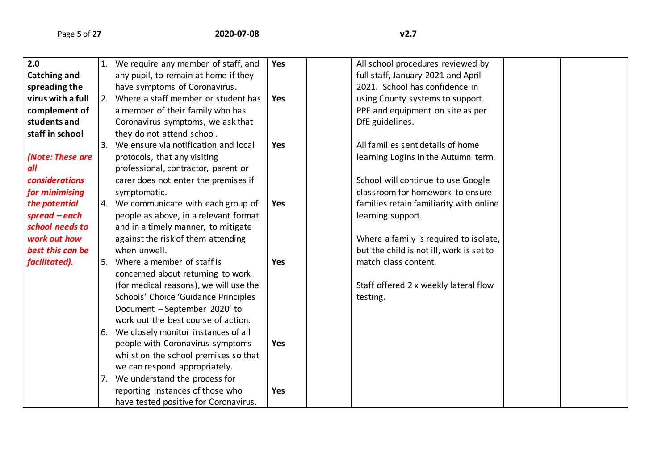| 2.0                   | 1.               | We require any member of staff, and    | <b>Yes</b> | All school procedures reviewed by        |  |
|-----------------------|------------------|----------------------------------------|------------|------------------------------------------|--|
| Catching and          |                  | any pupil, to remain at home if they   |            | full staff, January 2021 and April       |  |
| spreading the         |                  | have symptoms of Coronavirus.          |            | 2021. School has confidence in           |  |
| virus with a full     |                  | 2. Where a staff member or student has | <b>Yes</b> | using County systems to support.         |  |
| complement of         |                  | a member of their family who has       |            | PPE and equipment on site as per         |  |
| students and          |                  | Coronavirus symptoms, we ask that      |            | DfE guidelines.                          |  |
| staff in school       |                  | they do not attend school.             |            |                                          |  |
|                       | $\overline{3}$ . | We ensure via notification and local   | <b>Yes</b> | All families sent details of home        |  |
| (Note: These are      |                  | protocols, that any visiting           |            | learning Logins in the Autumn term.      |  |
| all                   |                  | professional, contractor, parent or    |            |                                          |  |
| <b>considerations</b> |                  | carer does not enter the premises if   |            | School will continue to use Google       |  |
| for minimising        |                  | symptomatic.                           |            | classroom for homework to ensure         |  |
| the potential         |                  | 4. We communicate with each group of   | <b>Yes</b> | families retain familiarity with online  |  |
| $spread - each$       |                  | people as above, in a relevant format  |            | learning support.                        |  |
| school needs to       |                  | and in a timely manner, to mitigate    |            |                                          |  |
| work out how          |                  | against the risk of them attending     |            | Where a family is required to isolate,   |  |
| best this can be      |                  | when unwell.                           |            | but the child is not ill, work is set to |  |
| facilitated).         | 5.               | Where a member of staff is             | <b>Yes</b> | match class content.                     |  |
|                       |                  | concerned about returning to work      |            |                                          |  |
|                       |                  | (for medical reasons), we will use the |            | Staff offered 2 x weekly lateral flow    |  |
|                       |                  | Schools' Choice 'Guidance Principles   |            | testing.                                 |  |
|                       |                  | Document - September 2020' to          |            |                                          |  |
|                       |                  | work out the best course of action.    |            |                                          |  |
|                       | 6.               | We closely monitor instances of all    |            |                                          |  |
|                       |                  | people with Coronavirus symptoms       | <b>Yes</b> |                                          |  |
|                       |                  | whilst on the school premises so that  |            |                                          |  |
|                       |                  | we can respond appropriately.          |            |                                          |  |
|                       | 7.               | We understand the process for          |            |                                          |  |
|                       |                  | reporting instances of those who       | <b>Yes</b> |                                          |  |
|                       |                  | have tested positive for Coronavirus.  |            |                                          |  |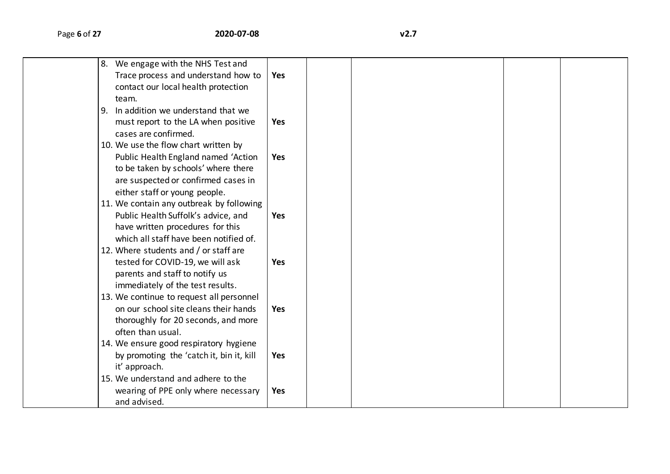| 8. We engage with the NHS Test and       |            |  |  |  |
|------------------------------------------|------------|--|--|--|
| Trace process and understand how to      | <b>Yes</b> |  |  |  |
| contact our local health protection      |            |  |  |  |
| team.                                    |            |  |  |  |
| 9. In addition we understand that we     |            |  |  |  |
| must report to the LA when positive      | Yes        |  |  |  |
| cases are confirmed.                     |            |  |  |  |
| 10. We use the flow chart written by     |            |  |  |  |
| Public Health England named 'Action      | Yes        |  |  |  |
| to be taken by schools' where there      |            |  |  |  |
| are suspected or confirmed cases in      |            |  |  |  |
| either staff or young people.            |            |  |  |  |
| 11. We contain any outbreak by following |            |  |  |  |
| Public Health Suffolk's advice, and      | <b>Yes</b> |  |  |  |
| have written procedures for this         |            |  |  |  |
| which all staff have been notified of.   |            |  |  |  |
| 12. Where students and / or staff are    |            |  |  |  |
| tested for COVID-19, we will ask         | <b>Yes</b> |  |  |  |
| parents and staff to notify us           |            |  |  |  |
| immediately of the test results.         |            |  |  |  |
| 13. We continue to request all personnel |            |  |  |  |
| on our school site cleans their hands    | Yes        |  |  |  |
| thoroughly for 20 seconds, and more      |            |  |  |  |
| often than usual.                        |            |  |  |  |
| 14. We ensure good respiratory hygiene   |            |  |  |  |
| by promoting the 'catch it, bin it, kill | Yes        |  |  |  |
| it' approach.                            |            |  |  |  |
| 15. We understand and adhere to the      |            |  |  |  |
| wearing of PPE only where necessary      | Yes        |  |  |  |
| and advised.                             |            |  |  |  |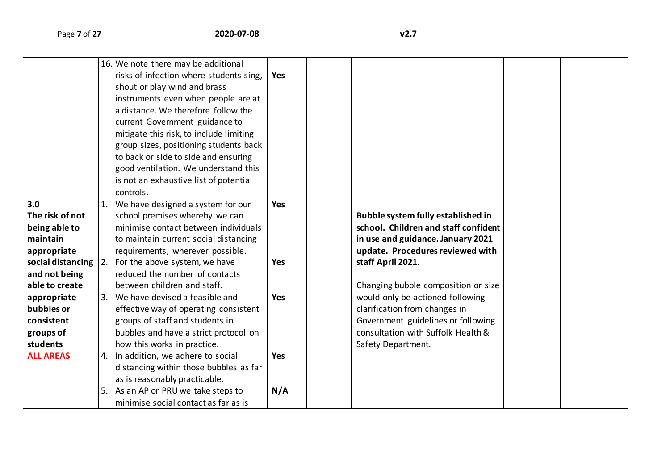|                          |    | 16. We note there may be additional     |            |                                           |  |
|--------------------------|----|-----------------------------------------|------------|-------------------------------------------|--|
|                          |    | risks of infection where students sing, | <b>Yes</b> |                                           |  |
|                          |    | shout or play wind and brass            |            |                                           |  |
|                          |    | instruments even when people are at     |            |                                           |  |
|                          |    | a distance. We therefore follow the     |            |                                           |  |
|                          |    | current Government guidance to          |            |                                           |  |
|                          |    | mitigate this risk, to include limiting |            |                                           |  |
|                          |    | group sizes, positioning students back  |            |                                           |  |
|                          |    | to back or side to side and ensuring    |            |                                           |  |
|                          |    | good ventilation. We understand this    |            |                                           |  |
|                          |    | is not an exhaustive list of potential  |            |                                           |  |
|                          |    | controls.                               |            |                                           |  |
| 3.0                      |    | We have designed a system for our       | Yes        |                                           |  |
| The risk of not          |    | school premises whereby we can          |            | <b>Bubble system fully established in</b> |  |
| being able to            |    | minimise contact between individuals    |            | school. Children and staff confident      |  |
| maintain                 |    | to maintain current social distancing   |            | in use and guidance. January 2021         |  |
| appropriate              |    | requirements, wherever possible.        |            | update. Procedures reviewed with          |  |
| social distancing $ 2$ . |    | For the above system, we have           | <b>Yes</b> | staff April 2021.                         |  |
| and not being            |    | reduced the number of contacts          |            |                                           |  |
| able to create           |    | between children and staff.             |            | Changing bubble composition or size       |  |
| appropriate              |    | We have devised a feasible and          | <b>Yes</b> | would only be actioned following          |  |
| bubbles or               |    | effective way of operating consistent   |            | clarification from changes in             |  |
| consistent               |    | groups of staff and students in         |            | Government guidelines or following        |  |
| groups of                |    | bubbles and have a strict protocol on   |            | consultation with Suffolk Health &        |  |
| students                 |    | how this works in practice.             |            | Safety Department.                        |  |
| <b>ALL AREAS</b>         | 4. | In addition, we adhere to social        | <b>Yes</b> |                                           |  |
|                          |    | distancing within those bubbles as far  |            |                                           |  |
|                          |    | as is reasonably practicable.           |            |                                           |  |
|                          |    | As an AP or PRU we take steps to        | N/A        |                                           |  |
|                          |    | minimise social contact as far as is    |            |                                           |  |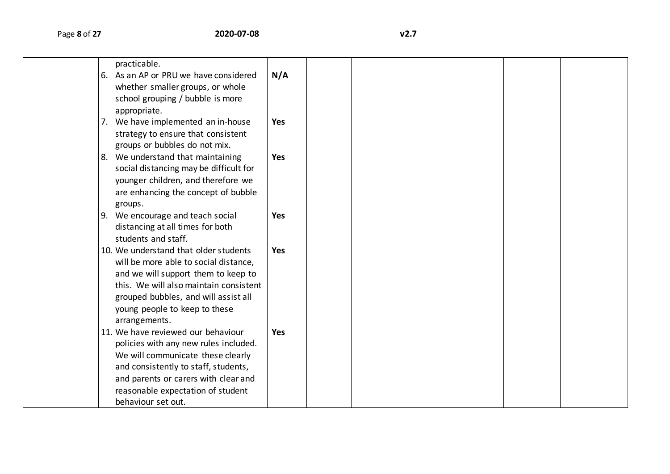| practicable.                           |            |  |  |  |
|----------------------------------------|------------|--|--|--|
| 6. As an AP or PRU we have considered  | N/A        |  |  |  |
| whether smaller groups, or whole       |            |  |  |  |
| school grouping / bubble is more       |            |  |  |  |
| appropriate.                           |            |  |  |  |
| 7. We have implemented an in-house     | <b>Yes</b> |  |  |  |
| strategy to ensure that consistent     |            |  |  |  |
| groups or bubbles do not mix.          |            |  |  |  |
| 8. We understand that maintaining      | <b>Yes</b> |  |  |  |
| social distancing may be difficult for |            |  |  |  |
| younger children, and therefore we     |            |  |  |  |
| are enhancing the concept of bubble    |            |  |  |  |
| groups.                                |            |  |  |  |
| 9. We encourage and teach social       | <b>Yes</b> |  |  |  |
| distancing at all times for both       |            |  |  |  |
| students and staff.                    |            |  |  |  |
| 10. We understand that older students  | <b>Yes</b> |  |  |  |
| will be more able to social distance,  |            |  |  |  |
| and we will support them to keep to    |            |  |  |  |
| this. We will also maintain consistent |            |  |  |  |
| grouped bubbles, and will assist all   |            |  |  |  |
| young people to keep to these          |            |  |  |  |
| arrangements.                          |            |  |  |  |
| 11. We have reviewed our behaviour     | <b>Yes</b> |  |  |  |
| policies with any new rules included.  |            |  |  |  |
| We will communicate these clearly      |            |  |  |  |
| and consistently to staff, students,   |            |  |  |  |
| and parents or carers with clear and   |            |  |  |  |
| reasonable expectation of student      |            |  |  |  |
| behaviour set out.                     |            |  |  |  |
|                                        |            |  |  |  |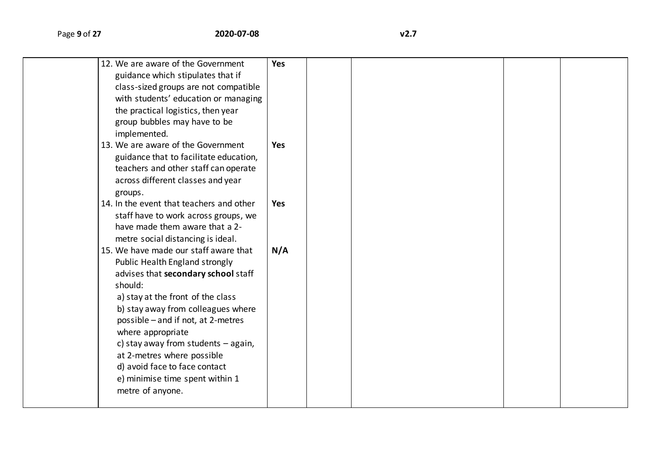| 12. We are aware of the Government       | <b>Yes</b> |  |  |
|------------------------------------------|------------|--|--|
| guidance which stipulates that if        |            |  |  |
| class-sized groups are not compatible    |            |  |  |
| with students' education or managing     |            |  |  |
| the practical logistics, then year       |            |  |  |
| group bubbles may have to be             |            |  |  |
| implemented.                             |            |  |  |
| 13. We are aware of the Government       | <b>Yes</b> |  |  |
|                                          |            |  |  |
| guidance that to facilitate education,   |            |  |  |
| teachers and other staff can operate     |            |  |  |
| across different classes and year        |            |  |  |
| groups.                                  |            |  |  |
| 14. In the event that teachers and other | <b>Yes</b> |  |  |
| staff have to work across groups, we     |            |  |  |
| have made them aware that a 2-           |            |  |  |
| metre social distancing is ideal.        |            |  |  |
| 15. We have made our staff aware that    | N/A        |  |  |
| Public Health England strongly           |            |  |  |
| advises that secondary school staff      |            |  |  |
| should:                                  |            |  |  |
| a) stay at the front of the class        |            |  |  |
| b) stay away from colleagues where       |            |  |  |
| possible - and if not, at 2-metres       |            |  |  |
| where appropriate                        |            |  |  |
| c) stay away from students - again,      |            |  |  |
| at 2-metres where possible               |            |  |  |
| d) avoid face to face contact            |            |  |  |
| e) minimise time spent within 1          |            |  |  |
| metre of anyone.                         |            |  |  |
|                                          |            |  |  |
|                                          |            |  |  |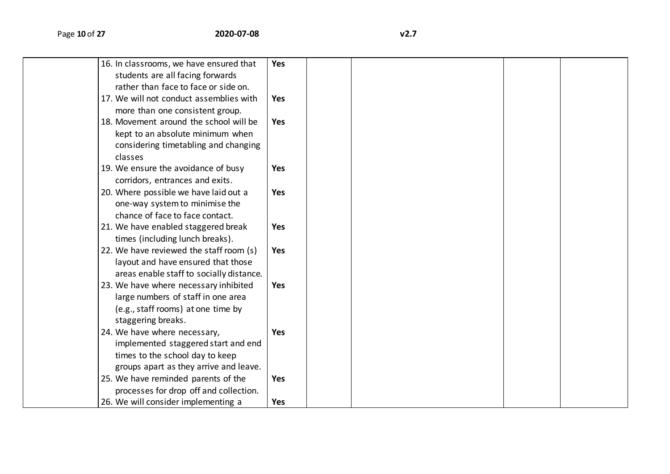| 16. In classrooms, we have ensured that  | <b>Yes</b> |  |  |  |
|------------------------------------------|------------|--|--|--|
| students are all facing forwards         |            |  |  |  |
| rather than face to face or side on.     |            |  |  |  |
| 17. We will not conduct assemblies with  | <b>Yes</b> |  |  |  |
| more than one consistent group.          |            |  |  |  |
| 18. Movement around the school will be   | <b>Yes</b> |  |  |  |
| kept to an absolute minimum when         |            |  |  |  |
| considering timetabling and changing     |            |  |  |  |
| classes                                  |            |  |  |  |
| 19. We ensure the avoidance of busy      | <b>Yes</b> |  |  |  |
| corridors, entrances and exits.          |            |  |  |  |
| 20. Where possible we have laid out a    | <b>Yes</b> |  |  |  |
| one-way system to minimise the           |            |  |  |  |
| chance of face to face contact.          |            |  |  |  |
| 21. We have enabled staggered break      | <b>Yes</b> |  |  |  |
| times (including lunch breaks).          |            |  |  |  |
| 22. We have reviewed the staff room (s)  | <b>Yes</b> |  |  |  |
| layout and have ensured that those       |            |  |  |  |
| areas enable staff to socially distance. |            |  |  |  |
| 23. We have where necessary inhibited    | <b>Yes</b> |  |  |  |
| large numbers of staff in one area       |            |  |  |  |
| (e.g., staff rooms) at one time by       |            |  |  |  |
| staggering breaks.                       |            |  |  |  |
| 24. We have where necessary,             | <b>Yes</b> |  |  |  |
| implemented staggered start and end      |            |  |  |  |
| times to the school day to keep          |            |  |  |  |
| groups apart as they arrive and leave.   |            |  |  |  |
| 25. We have reminded parents of the      | <b>Yes</b> |  |  |  |
| processes for drop off and collection.   |            |  |  |  |
| 26. We will consider implementing a      | <b>Yes</b> |  |  |  |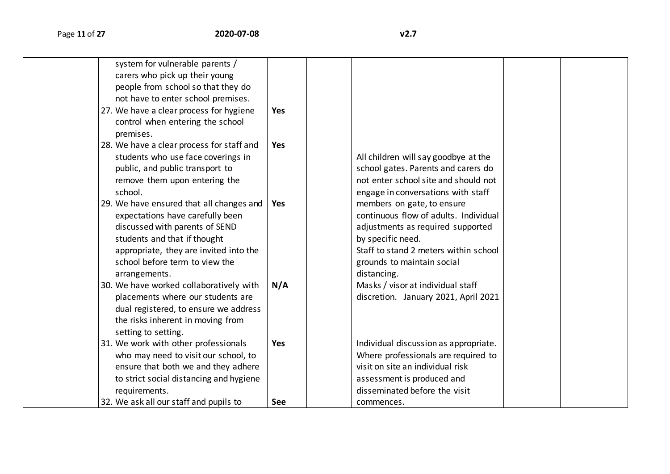| system for vulnerable parents /           |            |                                       |  |
|-------------------------------------------|------------|---------------------------------------|--|
| carers who pick up their young            |            |                                       |  |
| people from school so that they do        |            |                                       |  |
| not have to enter school premises.        |            |                                       |  |
| 27. We have a clear process for hygiene   | Yes        |                                       |  |
| control when entering the school          |            |                                       |  |
| premises.                                 |            |                                       |  |
| 28. We have a clear process for staff and | Yes        |                                       |  |
| students who use face coverings in        |            | All children will say goodbye at the  |  |
| public, and public transport to           |            | school gates. Parents and carers do   |  |
| remove them upon entering the             |            | not enter school site and should not  |  |
| school.                                   |            | engage in conversations with staff    |  |
| 29. We have ensured that all changes and  | <b>Yes</b> | members on gate, to ensure            |  |
| expectations have carefully been          |            | continuous flow of adults. Individual |  |
| discussed with parents of SEND            |            | adjustments as required supported     |  |
| students and that if thought              |            | by specific need.                     |  |
| appropriate, they are invited into the    |            | Staff to stand 2 meters within school |  |
| school before term to view the            |            | grounds to maintain social            |  |
| arrangements.                             |            | distancing.                           |  |
| 30. We have worked collaboratively with   | N/A        | Masks / visor at individual staff     |  |
| placements where our students are         |            | discretion. January 2021, April 2021  |  |
| dual registered, to ensure we address     |            |                                       |  |
| the risks inherent in moving from         |            |                                       |  |
| setting to setting.                       |            |                                       |  |
| 31. We work with other professionals      | <b>Yes</b> | Individual discussion as appropriate. |  |
| who may need to visit our school, to      |            | Where professionals are required to   |  |
| ensure that both we and they adhere       |            | visit on site an individual risk      |  |
| to strict social distancing and hygiene   |            | assessment is produced and            |  |
| requirements.                             |            | disseminated before the visit         |  |
| 32. We ask all our staff and pupils to    | <b>See</b> | commences.                            |  |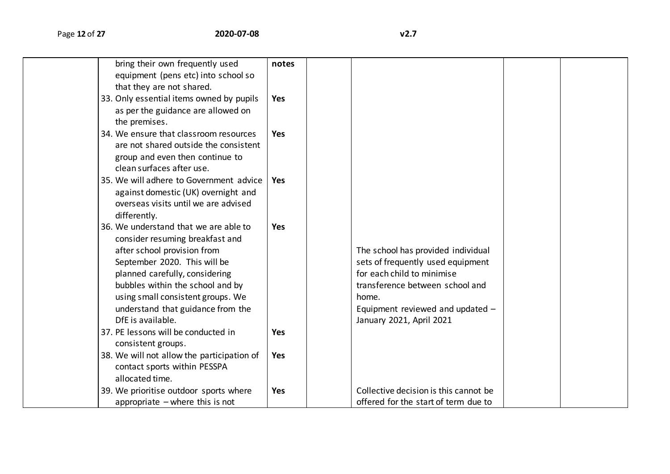| bring their own frequently used            | notes      |                                       |  |
|--------------------------------------------|------------|---------------------------------------|--|
| equipment (pens etc) into school so        |            |                                       |  |
| that they are not shared.                  |            |                                       |  |
| 33. Only essential items owned by pupils   | <b>Yes</b> |                                       |  |
| as per the guidance are allowed on         |            |                                       |  |
| the premises.                              |            |                                       |  |
| 34. We ensure that classroom resources     | <b>Yes</b> |                                       |  |
| are not shared outside the consistent      |            |                                       |  |
| group and even then continue to            |            |                                       |  |
| clean surfaces after use.                  |            |                                       |  |
| 35. We will adhere to Government advice    | <b>Yes</b> |                                       |  |
| against domestic (UK) overnight and        |            |                                       |  |
| overseas visits until we are advised       |            |                                       |  |
| differently.                               |            |                                       |  |
| 36. We understand that we are able to      | <b>Yes</b> |                                       |  |
| consider resuming breakfast and            |            |                                       |  |
| after school provision from                |            | The school has provided individual    |  |
| September 2020. This will be               |            | sets of frequently used equipment     |  |
| planned carefully, considering             |            | for each child to minimise            |  |
| bubbles within the school and by           |            | transference between school and       |  |
| using small consistent groups. We          |            | home.                                 |  |
| understand that guidance from the          |            | Equipment reviewed and updated -      |  |
| DfE is available.                          |            | January 2021, April 2021              |  |
| 37. PE lessons will be conducted in        | <b>Yes</b> |                                       |  |
| consistent groups.                         |            |                                       |  |
| 38. We will not allow the participation of | <b>Yes</b> |                                       |  |
| contact sports within PESSPA               |            |                                       |  |
| allocated time.                            |            |                                       |  |
| 39. We prioritise outdoor sports where     | <b>Yes</b> | Collective decision is this cannot be |  |
| appropriate $-\omega$ where this is not    |            | offered for the start of term due to  |  |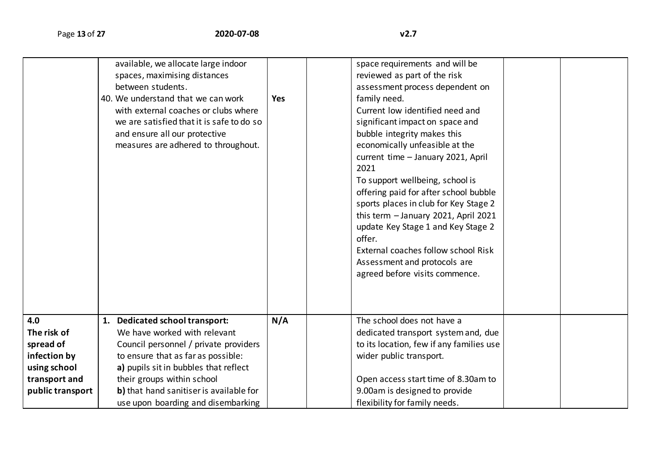|                  | available, we allocate large indoor<br>spaces, maximising distances<br>between students.<br>40. We understand that we can work<br>with external coaches or clubs where<br>we are satisfied that it is safe to do so<br>and ensure all our protective<br>measures are adhered to throughout. | <b>Yes</b> | space requirements and will be<br>reviewed as part of the risk<br>assessment process dependent on<br>family need.<br>Current low identified need and<br>significant impact on space and<br>bubble integrity makes this<br>economically unfeasible at the<br>current time - January 2021, April<br>2021<br>To support wellbeing, school is<br>offering paid for after school bubble<br>sports places in club for Key Stage 2<br>this term - January 2021, April 2021<br>update Key Stage 1 and Key Stage 2<br>offer.<br>External coaches follow school Risk<br>Assessment and protocols are<br>agreed before visits commence. |
|------------------|---------------------------------------------------------------------------------------------------------------------------------------------------------------------------------------------------------------------------------------------------------------------------------------------|------------|------------------------------------------------------------------------------------------------------------------------------------------------------------------------------------------------------------------------------------------------------------------------------------------------------------------------------------------------------------------------------------------------------------------------------------------------------------------------------------------------------------------------------------------------------------------------------------------------------------------------------|
| 4.0              | 1. Dedicated school transport:                                                                                                                                                                                                                                                              | N/A        | The school does not have a                                                                                                                                                                                                                                                                                                                                                                                                                                                                                                                                                                                                   |
| The risk of      | We have worked with relevant                                                                                                                                                                                                                                                                |            | dedicated transport system and, due                                                                                                                                                                                                                                                                                                                                                                                                                                                                                                                                                                                          |
| spread of        | Council personnel / private providers                                                                                                                                                                                                                                                       |            | to its location, few if any families use                                                                                                                                                                                                                                                                                                                                                                                                                                                                                                                                                                                     |
| infection by     | to ensure that as far as possible:                                                                                                                                                                                                                                                          |            | wider public transport.                                                                                                                                                                                                                                                                                                                                                                                                                                                                                                                                                                                                      |
| using school     | a) pupils sit in bubbles that reflect                                                                                                                                                                                                                                                       |            |                                                                                                                                                                                                                                                                                                                                                                                                                                                                                                                                                                                                                              |
| transport and    | their groups within school                                                                                                                                                                                                                                                                  |            | Open access start time of 8.30am to                                                                                                                                                                                                                                                                                                                                                                                                                                                                                                                                                                                          |
| public transport | b) that hand sanitiser is available for                                                                                                                                                                                                                                                     |            | 9.00am is designed to provide                                                                                                                                                                                                                                                                                                                                                                                                                                                                                                                                                                                                |
|                  | use upon boarding and disembarking                                                                                                                                                                                                                                                          |            | flexibility for family needs.                                                                                                                                                                                                                                                                                                                                                                                                                                                                                                                                                                                                |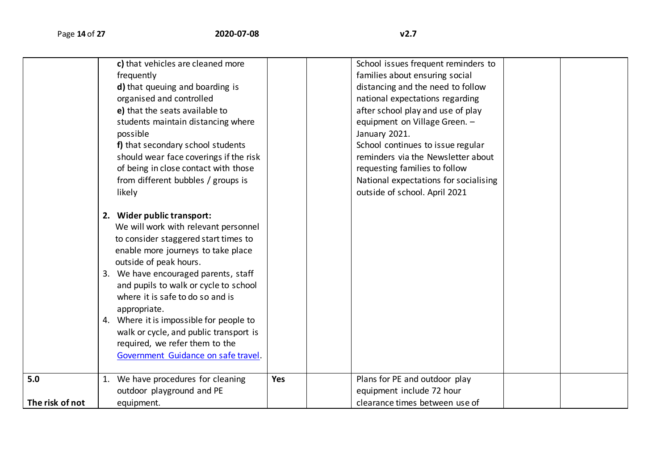|                 |    | c) that vehicles are cleaned more       |     | School issues frequent reminders to   |  |
|-----------------|----|-----------------------------------------|-----|---------------------------------------|--|
|                 |    | frequently                              |     | families about ensuring social        |  |
|                 |    | d) that queuing and boarding is         |     | distancing and the need to follow     |  |
|                 |    | organised and controlled                |     | national expectations regarding       |  |
|                 |    | e) that the seats available to          |     | after school play and use of play     |  |
|                 |    | students maintain distancing where      |     | equipment on Village Green. -         |  |
|                 |    | possible                                |     | January 2021.                         |  |
|                 |    | f) that secondary school students       |     | School continues to issue regular     |  |
|                 |    | should wear face coverings if the risk  |     | reminders via the Newsletter about    |  |
|                 |    | of being in close contact with those    |     | requesting families to follow         |  |
|                 |    | from different bubbles / groups is      |     | National expectations for socialising |  |
|                 |    | likely                                  |     | outside of school. April 2021         |  |
|                 |    |                                         |     |                                       |  |
|                 |    | 2. Wider public transport:              |     |                                       |  |
|                 |    | We will work with relevant personnel    |     |                                       |  |
|                 |    | to consider staggered start times to    |     |                                       |  |
|                 |    | enable more journeys to take place      |     |                                       |  |
|                 |    | outside of peak hours.                  |     |                                       |  |
|                 |    | 3. We have encouraged parents, staff    |     |                                       |  |
|                 |    | and pupils to walk or cycle to school   |     |                                       |  |
|                 |    | where it is safe to do so and is        |     |                                       |  |
|                 |    | appropriate.                            |     |                                       |  |
|                 |    | 4. Where it is impossible for people to |     |                                       |  |
|                 |    | walk or cycle, and public transport is  |     |                                       |  |
|                 |    | required, we refer them to the          |     |                                       |  |
|                 |    | Government Guidance on safe travel.     |     |                                       |  |
|                 |    |                                         |     |                                       |  |
| 5.0             | 1. | We have procedures for cleaning         | Yes | Plans for PE and outdoor play         |  |
|                 |    | outdoor playground and PE               |     | equipment include 72 hour             |  |
| The risk of not |    | equipment.                              |     | clearance times between use of        |  |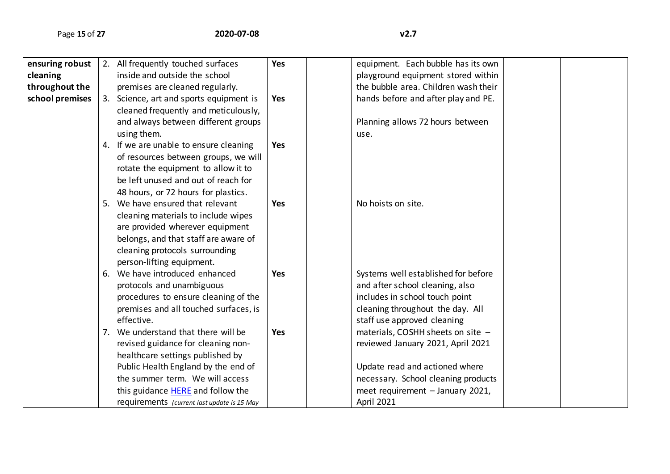| ensuring robust | 2. All frequently touched surfaces          | <b>Yes</b> | equipment. Each bubble has its own   |  |
|-----------------|---------------------------------------------|------------|--------------------------------------|--|
| cleaning        | inside and outside the school               |            | playground equipment stored within   |  |
| throughout the  | premises are cleaned regularly.             |            | the bubble area. Children wash their |  |
| school premises | 3. Science, art and sports equipment is     | <b>Yes</b> | hands before and after play and PE.  |  |
|                 | cleaned frequently and meticulously,        |            |                                      |  |
|                 | and always between different groups         |            | Planning allows 72 hours between     |  |
|                 | using them.                                 |            | use.                                 |  |
|                 | 4. If we are unable to ensure cleaning      | <b>Yes</b> |                                      |  |
|                 | of resources between groups, we will        |            |                                      |  |
|                 | rotate the equipment to allow it to         |            |                                      |  |
|                 | be left unused and out of reach for         |            |                                      |  |
|                 | 48 hours, or 72 hours for plastics.         |            |                                      |  |
|                 | 5. We have ensured that relevant            | <b>Yes</b> | No hoists on site.                   |  |
|                 | cleaning materials to include wipes         |            |                                      |  |
|                 | are provided wherever equipment             |            |                                      |  |
|                 | belongs, and that staff are aware of        |            |                                      |  |
|                 | cleaning protocols surrounding              |            |                                      |  |
|                 | person-lifting equipment.                   |            |                                      |  |
|                 | 6. We have introduced enhanced              | <b>Yes</b> | Systems well established for before  |  |
|                 | protocols and unambiguous                   |            | and after school cleaning, also      |  |
|                 | procedures to ensure cleaning of the        |            | includes in school touch point       |  |
|                 | premises and all touched surfaces, is       |            | cleaning throughout the day. All     |  |
|                 | effective.                                  |            | staff use approved cleaning          |  |
|                 | 7. We understand that there will be         | <b>Yes</b> | materials, COSHH sheets on site -    |  |
|                 | revised guidance for cleaning non-          |            | reviewed January 2021, April 2021    |  |
|                 | healthcare settings published by            |            |                                      |  |
|                 | Public Health England by the end of         |            | Update read and actioned where       |  |
|                 | the summer term. We will access             |            | necessary. School cleaning products  |  |
|                 | this guidance <b>HERE</b> and follow the    |            | meet requirement - January 2021,     |  |
|                 | requirements (current last update is 15 May |            | April 2021                           |  |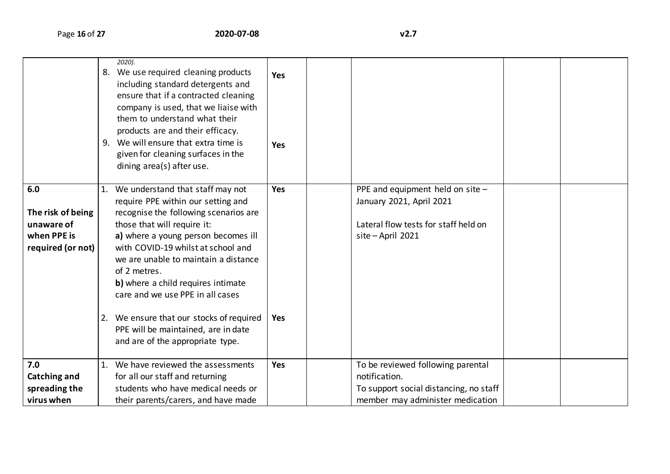|                                                                            | 2020).<br>8. We use required cleaning products<br>including standard detergents and<br>ensure that if a contracted cleaning<br>company is used, that we liaise with<br>them to understand what their<br>products are and their efficacy.<br>9. We will ensure that extra time is<br>given for cleaning surfaces in the<br>dining area(s) after use.                                                                                                                                     | <b>Yes</b><br><b>Yes</b> |                                                                                                                                  |  |
|----------------------------------------------------------------------------|-----------------------------------------------------------------------------------------------------------------------------------------------------------------------------------------------------------------------------------------------------------------------------------------------------------------------------------------------------------------------------------------------------------------------------------------------------------------------------------------|--------------------------|----------------------------------------------------------------------------------------------------------------------------------|--|
| 6.0<br>The risk of being<br>unaware of<br>when PPE is<br>required (or not) | 1. We understand that staff may not<br>require PPE within our setting and<br>recognise the following scenarios are<br>those that will require it:<br>a) where a young person becomes ill<br>with COVID-19 whilst at school and<br>we are unable to maintain a distance<br>of 2 metres.<br>b) where a child requires intimate<br>care and we use PPE in all cases<br>2. We ensure that our stocks of required<br>PPE will be maintained, are in date<br>and are of the appropriate type. | <b>Yes</b><br><b>Yes</b> | PPE and equipment held on site $-$<br>January 2021, April 2021<br>Lateral flow tests for staff held on<br>site-April 2021        |  |
| 7.0<br><b>Catching and</b><br>spreading the<br>virus when                  | 1. We have reviewed the assessments<br>for all our staff and returning<br>students who have medical needs or<br>their parents/carers, and have made                                                                                                                                                                                                                                                                                                                                     | Yes                      | To be reviewed following parental<br>notification.<br>To support social distancing, no staff<br>member may administer medication |  |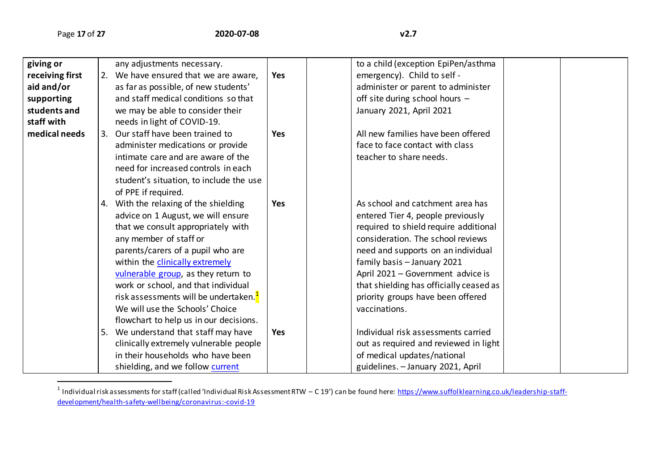| giving or       |    | any adjustments necessary.                        |            | to a child (exception EpiPen/asthma     |  |
|-----------------|----|---------------------------------------------------|------------|-----------------------------------------|--|
| receiving first |    | 2. We have ensured that we are aware,             | <b>Yes</b> | emergency). Child to self -             |  |
| aid and/or      |    | as far as possible, of new students'              |            | administer or parent to administer      |  |
| supporting      |    | and staff medical conditions so that              |            | off site during school hours -          |  |
| students and    |    | we may be able to consider their                  |            | January 2021, April 2021                |  |
| staff with      |    | needs in light of COVID-19.                       |            |                                         |  |
| medical needs   |    | 3. Our staff have been trained to                 | <b>Yes</b> | All new families have been offered      |  |
|                 |    | administer medications or provide                 |            | face to face contact with class         |  |
|                 |    | intimate care and are aware of the                |            | teacher to share needs.                 |  |
|                 |    | need for increased controls in each               |            |                                         |  |
|                 |    | student's situation, to include the use           |            |                                         |  |
|                 |    | of PPE if required.                               |            |                                         |  |
|                 |    | 4. With the relaxing of the shielding             | Yes        | As school and catchment area has        |  |
|                 |    | advice on 1 August, we will ensure                |            | entered Tier 4, people previously       |  |
|                 |    | that we consult appropriately with                |            | required to shield require additional   |  |
|                 |    | any member of staff or                            |            | consideration. The school reviews       |  |
|                 |    | parents/carers of a pupil who are                 |            | need and supports on an individual      |  |
|                 |    | within the clinically extremely                   |            | family basis - January 2021             |  |
|                 |    | vulnerable group, as they return to               |            | April 2021 - Government advice is       |  |
|                 |    | work or school, and that individual               |            | that shielding has officially ceased as |  |
|                 |    | risk assessments will be undertaken. <sup>1</sup> |            | priority groups have been offered       |  |
|                 |    | We will use the Schools' Choice                   |            | vaccinations.                           |  |
|                 |    | flowchart to help us in our decisions.            |            |                                         |  |
|                 | 5. | We understand that staff may have                 | <b>Yes</b> | Individual risk assessments carried     |  |
|                 |    | clinically extremely vulnerable people            |            | out as required and reviewed in light   |  |
|                 |    | in their households who have been                 |            | of medical updates/national             |  |
|                 |    | shielding, and we follow current                  |            | guidelines. - January 2021, April       |  |

 1 Individual risk assessments for staff (called 'Individual Risk Assessment RTW – C 19') can be found here: [https://www.suffolklearning.co.uk/leadership-staff](https://www.suffolklearning.co.uk/leadership-staff-development/health-safety-wellbeing/coronavirus:-covid-19)[development/health-safety-wellbeing/coronavirus:-covid-19](https://www.suffolklearning.co.uk/leadership-staff-development/health-safety-wellbeing/coronavirus:-covid-19)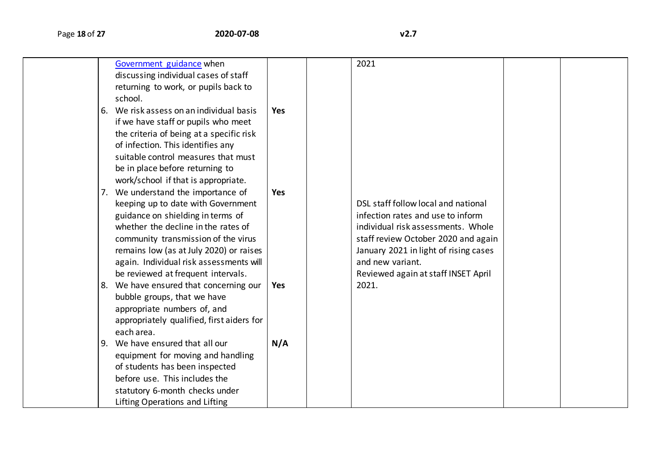|    | Government guidance when<br>discussing individual cases of staff<br>returning to work, or pupils back to |            | 2021                                  |  |
|----|----------------------------------------------------------------------------------------------------------|------------|---------------------------------------|--|
|    | school.                                                                                                  |            |                                       |  |
| 6. | We risk assess on an individual basis                                                                    | <b>Yes</b> |                                       |  |
|    | if we have staff or pupils who meet                                                                      |            |                                       |  |
|    | the criteria of being at a specific risk                                                                 |            |                                       |  |
|    | of infection. This identifies any                                                                        |            |                                       |  |
|    | suitable control measures that must                                                                      |            |                                       |  |
|    | be in place before returning to                                                                          |            |                                       |  |
|    | work/school if that is appropriate.                                                                      |            |                                       |  |
| 7. | We understand the importance of                                                                          | <b>Yes</b> |                                       |  |
|    | keeping up to date with Government                                                                       |            | DSL staff follow local and national   |  |
|    | guidance on shielding in terms of                                                                        |            | infection rates and use to inform     |  |
|    | whether the decline in the rates of                                                                      |            | individual risk assessments. Whole    |  |
|    | community transmission of the virus                                                                      |            | staff review October 2020 and again   |  |
|    | remains low (as at July 2020) or raises                                                                  |            | January 2021 in light of rising cases |  |
|    | again. Individual risk assessments will                                                                  |            | and new variant.                      |  |
|    | be reviewed at frequent intervals.                                                                       |            | Reviewed again at staff INSET April   |  |
| 8. | We have ensured that concerning our                                                                      | Yes        | 2021.                                 |  |
|    | bubble groups, that we have                                                                              |            |                                       |  |
|    | appropriate numbers of, and                                                                              |            |                                       |  |
|    | appropriately qualified, first aiders for                                                                |            |                                       |  |
|    | each area.                                                                                               |            |                                       |  |
| 9. | We have ensured that all our                                                                             | N/A        |                                       |  |
|    | equipment for moving and handling                                                                        |            |                                       |  |
|    | of students has been inspected                                                                           |            |                                       |  |
|    | before use. This includes the                                                                            |            |                                       |  |
|    | statutory 6-month checks under                                                                           |            |                                       |  |
|    | Lifting Operations and Lifting                                                                           |            |                                       |  |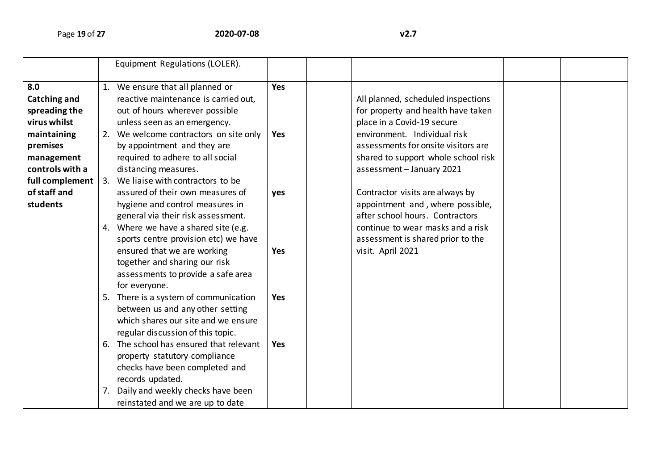|                 |    | Equipment Regulations (LOLER).          |            |                                     |  |
|-----------------|----|-----------------------------------------|------------|-------------------------------------|--|
| 8.0             |    | 1. We ensure that all planned or        | <b>Yes</b> |                                     |  |
| Catching and    |    | reactive maintenance is carried out,    |            | All planned, scheduled inspections  |  |
| spreading the   |    | out of hours wherever possible          |            | for property and health have taken  |  |
| virus whilst    |    | unless seen as an emergency.            |            | place in a Covid-19 secure          |  |
| maintaining     |    | 2. We welcome contractors on site only  | <b>Yes</b> | environment. Individual risk        |  |
| premises        |    | by appointment and they are             |            | assessments for onsite visitors are |  |
| management      |    | required to adhere to all social        |            | shared to support whole school risk |  |
| controls with a |    | distancing measures.                    |            | assessment - January 2021           |  |
| full complement |    | 3. We liaise with contractors to be     |            |                                     |  |
| of staff and    |    | assured of their own measures of        | yes        | Contractor visits are always by     |  |
| students        |    | hygiene and control measures in         |            | appointment and, where possible,    |  |
|                 |    | general via their risk assessment.      |            | after school hours. Contractors     |  |
|                 |    | 4. Where we have a shared site (e.g.    |            | continue to wear masks and a risk   |  |
|                 |    | sports centre provision etc) we have    |            | assessment is shared prior to the   |  |
|                 |    | ensured that we are working             | <b>Yes</b> | visit. April 2021                   |  |
|                 |    | together and sharing our risk           |            |                                     |  |
|                 |    | assessments to provide a safe area      |            |                                     |  |
|                 |    | for everyone.                           |            |                                     |  |
|                 |    | 5. There is a system of communication   | <b>Yes</b> |                                     |  |
|                 |    | between us and any other setting        |            |                                     |  |
|                 |    | which shares our site and we ensure     |            |                                     |  |
|                 |    | regular discussion of this topic.       |            |                                     |  |
|                 |    | 6. The school has ensured that relevant | Yes        |                                     |  |
|                 |    | property statutory compliance           |            |                                     |  |
|                 |    | checks have been completed and          |            |                                     |  |
|                 |    | records updated.                        |            |                                     |  |
|                 | 7. | Daily and weekly checks have been       |            |                                     |  |
|                 |    | reinstated and we are up to date        |            |                                     |  |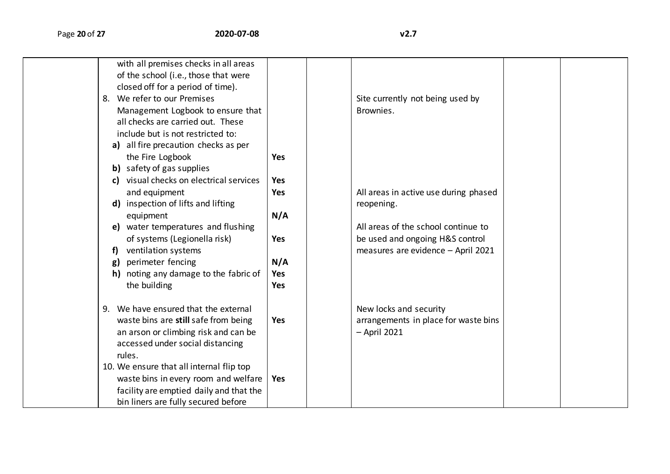| with all premises checks in all areas<br>of the school (i.e., those that were<br>closed off for a period of time).<br>8. We refer to our Premises<br>Management Logbook to ensure that<br>all checks are carried out. These<br>include but is not restricted to:<br>a) all fire precaution checks as per |            | Site currently not being used by<br>Brownies. |  |
|----------------------------------------------------------------------------------------------------------------------------------------------------------------------------------------------------------------------------------------------------------------------------------------------------------|------------|-----------------------------------------------|--|
| the Fire Logbook                                                                                                                                                                                                                                                                                         | <b>Yes</b> |                                               |  |
| <b>b)</b> safety of gas supplies                                                                                                                                                                                                                                                                         |            |                                               |  |
| c) visual checks on electrical services                                                                                                                                                                                                                                                                  | <b>Yes</b> |                                               |  |
| and equipment                                                                                                                                                                                                                                                                                            | <b>Yes</b> | All areas in active use during phased         |  |
| inspection of lifts and lifting<br>d)                                                                                                                                                                                                                                                                    |            | reopening.                                    |  |
| equipment                                                                                                                                                                                                                                                                                                | N/A        |                                               |  |
| water temperatures and flushing<br>e)                                                                                                                                                                                                                                                                    |            | All areas of the school continue to           |  |
| of systems (Legionella risk)                                                                                                                                                                                                                                                                             | <b>Yes</b> | be used and ongoing H&S control               |  |
| ventilation systems                                                                                                                                                                                                                                                                                      |            | measures are evidence - April 2021            |  |
| perimeter fencing<br>g)                                                                                                                                                                                                                                                                                  | N/A        |                                               |  |
| noting any damage to the fabric of                                                                                                                                                                                                                                                                       | <b>Yes</b> |                                               |  |
| the building                                                                                                                                                                                                                                                                                             | Yes        |                                               |  |
| 9. We have ensured that the external                                                                                                                                                                                                                                                                     |            | New locks and security                        |  |
| waste bins are still safe from being                                                                                                                                                                                                                                                                     | <b>Yes</b> | arrangements in place for waste bins          |  |
| an arson or climbing risk and can be                                                                                                                                                                                                                                                                     |            | $-$ April 2021                                |  |
| accessed under social distancing                                                                                                                                                                                                                                                                         |            |                                               |  |
| rules.                                                                                                                                                                                                                                                                                                   |            |                                               |  |
| 10. We ensure that all internal flip top                                                                                                                                                                                                                                                                 |            |                                               |  |
| waste bins in every room and welfare                                                                                                                                                                                                                                                                     | <b>Yes</b> |                                               |  |
| facility are emptied daily and that the                                                                                                                                                                                                                                                                  |            |                                               |  |
| bin liners are fully secured before                                                                                                                                                                                                                                                                      |            |                                               |  |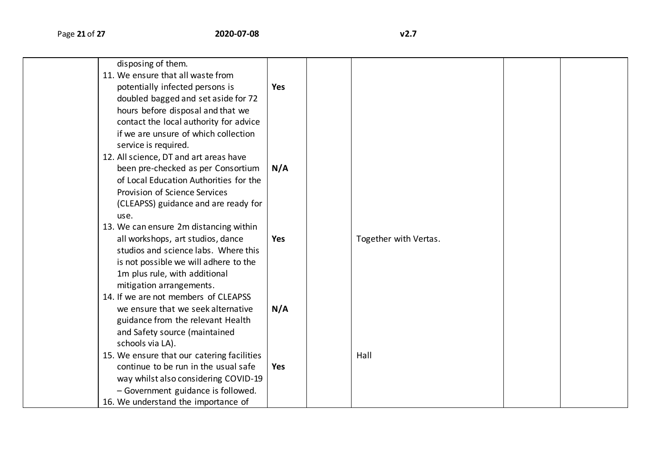| disposing of them.                         |            |                       |  |
|--------------------------------------------|------------|-----------------------|--|
| 11. We ensure that all waste from          |            |                       |  |
| potentially infected persons is            | <b>Yes</b> |                       |  |
| doubled bagged and set aside for 72        |            |                       |  |
| hours before disposal and that we          |            |                       |  |
| contact the local authority for advice     |            |                       |  |
| if we are unsure of which collection       |            |                       |  |
| service is required.                       |            |                       |  |
| 12. All science, DT and art areas have     |            |                       |  |
| been pre-checked as per Consortium         | N/A        |                       |  |
| of Local Education Authorities for the     |            |                       |  |
| Provision of Science Services              |            |                       |  |
| (CLEAPSS) guidance and are ready for       |            |                       |  |
| use.                                       |            |                       |  |
| 13. We can ensure 2m distancing within     |            |                       |  |
| all workshops, art studios, dance          | Yes        | Together with Vertas. |  |
| studios and science labs. Where this       |            |                       |  |
| is not possible we will adhere to the      |            |                       |  |
| 1m plus rule, with additional              |            |                       |  |
| mitigation arrangements.                   |            |                       |  |
| 14. If we are not members of CLEAPSS       |            |                       |  |
| we ensure that we seek alternative         | N/A        |                       |  |
| guidance from the relevant Health          |            |                       |  |
| and Safety source (maintained              |            |                       |  |
| schools via LA).                           |            |                       |  |
| 15. We ensure that our catering facilities |            | Hall                  |  |
| continue to be run in the usual safe       | Yes        |                       |  |
| way whilst also considering COVID-19       |            |                       |  |
| - Government guidance is followed.         |            |                       |  |
| 16. We understand the importance of        |            |                       |  |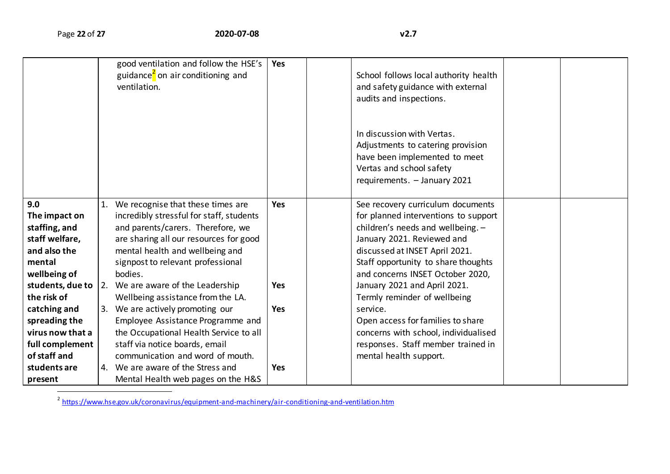|                                                                                                   | good ventilation and follow the HSE's<br>guidance <sup>2</sup> on air conditioning and<br>ventilation.                                                                                                                                             | Yes        | School follows local authority health<br>and safety guidance with external<br>audits and inspections.                                                                                                                                                     |  |
|---------------------------------------------------------------------------------------------------|----------------------------------------------------------------------------------------------------------------------------------------------------------------------------------------------------------------------------------------------------|------------|-----------------------------------------------------------------------------------------------------------------------------------------------------------------------------------------------------------------------------------------------------------|--|
|                                                                                                   |                                                                                                                                                                                                                                                    |            | In discussion with Vertas.<br>Adjustments to catering provision<br>have been implemented to meet<br>Vertas and school safety<br>requirements. - January 2021                                                                                              |  |
| 9.0<br>The impact on<br>staffing, and<br>staff welfare,<br>and also the<br>mental<br>wellbeing of | 1. We recognise that these times are<br>incredibly stressful for staff, students<br>and parents/carers. Therefore, we<br>are sharing all our resources for good<br>mental health and wellbeing and<br>signpost to relevant professional<br>bodies. | <b>Yes</b> | See recovery curriculum documents<br>for planned interventions to support<br>children's needs and wellbeing. -<br>January 2021. Reviewed and<br>discussed at INSET April 2021.<br>Staff opportunity to share thoughts<br>and concerns INSET October 2020, |  |
| the risk of                                                                                       | students, due to $ 2$ . We are aware of the Leadership<br>Wellbeing assistance from the LA.                                                                                                                                                        | Yes        | January 2021 and April 2021.<br>Termly reminder of wellbeing                                                                                                                                                                                              |  |
| catching and<br>spreading the<br>virus now that a<br>full complement<br>of staff and              | 3. We are actively promoting our<br>Employee Assistance Programme and<br>the Occupational Health Service to all<br>staff via notice boards, email<br>communication and word of mouth.                                                              | <b>Yes</b> | service.<br>Open access for families to share<br>concerns with school, individualised<br>responses. Staff member trained in<br>mental health support.                                                                                                     |  |
| students are<br>present                                                                           | 4. We are aware of the Stress and<br>Mental Health web pages on the H&S                                                                                                                                                                            | Yes        |                                                                                                                                                                                                                                                           |  |

<sup>2</sup><br><https://www.hse.gov.uk/coronavirus/equipment-and-machinery/air-conditioning-and-ventilation.htm> <sup>2</sup>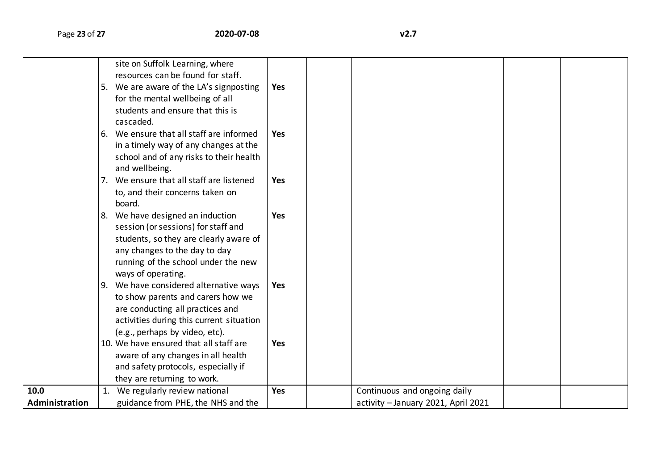|                | 5. | site on Suffolk Learning, where<br>resources can be found for staff.<br>We are aware of the LA's signposting<br>for the mental wellbeing of all<br>students and ensure that this is<br>cascaded.<br>6. We ensure that all staff are informed<br>in a timely way of any changes at the<br>school and of any risks to their health<br>and wellbeing.<br>7. We ensure that all staff are listened | Yes<br><b>Yes</b><br><b>Yes</b> |                                     |  |
|----------------|----|------------------------------------------------------------------------------------------------------------------------------------------------------------------------------------------------------------------------------------------------------------------------------------------------------------------------------------------------------------------------------------------------|---------------------------------|-------------------------------------|--|
|                |    | to, and their concerns taken on<br>board.                                                                                                                                                                                                                                                                                                                                                      |                                 |                                     |  |
|                |    | 8. We have designed an induction<br>session (or sessions) for staff and<br>students, so they are clearly aware of<br>any changes to the day to day<br>running of the school under the new<br>ways of operating.                                                                                                                                                                                | <b>Yes</b>                      |                                     |  |
|                |    | 9. We have considered alternative ways<br>to show parents and carers how we<br>are conducting all practices and<br>activities during this current situation<br>(e.g., perhaps by video, etc).                                                                                                                                                                                                  | Yes                             |                                     |  |
|                |    | 10. We have ensured that all staff are<br>aware of any changes in all health<br>and safety protocols, especially if<br>they are returning to work.                                                                                                                                                                                                                                             | <b>Yes</b>                      |                                     |  |
| 10.0           |    | 1. We regularly review national                                                                                                                                                                                                                                                                                                                                                                | <b>Yes</b>                      | Continuous and ongoing daily        |  |
| Administration |    | guidance from PHE, the NHS and the                                                                                                                                                                                                                                                                                                                                                             |                                 | activity - January 2021, April 2021 |  |
|                |    |                                                                                                                                                                                                                                                                                                                                                                                                |                                 |                                     |  |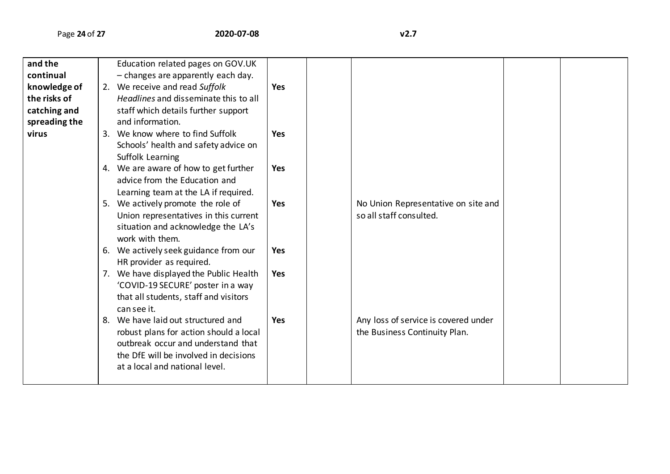| and the<br>continual<br>knowledge of<br>the risks of<br>catching and<br>spreading the | Education related pages on GOV.UK<br>- changes are apparently each day.<br>2. We receive and read Suffolk<br>Headlines and disseminate this to all<br>staff which details further support<br>and information. | <b>Yes</b> |                                                                       |  |
|---------------------------------------------------------------------------------------|---------------------------------------------------------------------------------------------------------------------------------------------------------------------------------------------------------------|------------|-----------------------------------------------------------------------|--|
| virus                                                                                 | 3. We know where to find Suffolk<br>Schools' health and safety advice on<br>Suffolk Learning                                                                                                                  | <b>Yes</b> |                                                                       |  |
|                                                                                       | 4. We are aware of how to get further<br>advice from the Education and<br>Learning team at the LA if required.                                                                                                | <b>Yes</b> |                                                                       |  |
|                                                                                       | 5. We actively promote the role of<br>Union representatives in this current<br>situation and acknowledge the LA's<br>work with them.                                                                          | <b>Yes</b> | No Union Representative on site and<br>so all staff consulted.        |  |
|                                                                                       | 6. We actively seek guidance from our<br>HR provider as required.                                                                                                                                             | <b>Yes</b> |                                                                       |  |
|                                                                                       | 7. We have displayed the Public Health<br>'COVID-19 SECURE' poster in a way<br>that all students, staff and visitors<br>can see it.                                                                           | <b>Yes</b> |                                                                       |  |
|                                                                                       | 8. We have laid out structured and<br>robust plans for action should a local<br>outbreak occur and understand that<br>the DfE will be involved in decisions<br>at a local and national level.                 | <b>Yes</b> | Any loss of service is covered under<br>the Business Continuity Plan. |  |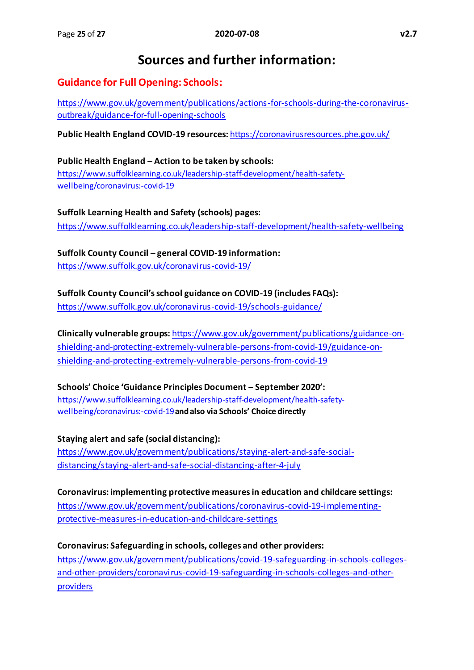# **Sources and further information:**

## **Guidance for Full Opening: Schools:**

[https://www.gov.uk/government/publications/actions-for-schools-during-the-coronavirus](https://www.gov.uk/government/publications/actions-for-schools-during-the-coronavirus-outbreak/guidance-for-full-opening-schools)[outbreak/guidance-for-full-opening-schools](https://www.gov.uk/government/publications/actions-for-schools-during-the-coronavirus-outbreak/guidance-for-full-opening-schools)

**Public Health England COVID-19 resources:** <https://coronavirusresources.phe.gov.uk/>

## **Public Health England – Action to be taken by schools:**  [https://www.suffolklearning.co.uk/leadership-staff-development/health-safety](https://www.suffolklearning.co.uk/leadership-staff-development/health-safety-wellbeing/coronavirus:-covid-19)[wellbeing/coronavirus:-covid-19](https://www.suffolklearning.co.uk/leadership-staff-development/health-safety-wellbeing/coronavirus:-covid-19)

**Suffolk Learning Health and Safety (schools) pages:** <https://www.suffolklearning.co.uk/leadership-staff-development/health-safety-wellbeing>

**Suffolk County Council – general COVID-19 information:** <https://www.suffolk.gov.uk/coronavirus-covid-19/>

**Suffolk County Council's school guidance on COVID-19 (includes FAQs):**

<https://www.suffolk.gov.uk/coronavirus-covid-19/schools-guidance/>

**Clinically vulnerable groups:** [https://www.gov.uk/government/publications/guidance-on](https://www.gov.uk/government/publications/guidance-on-shielding-and-protecting-extremely-vulnerable-persons-from-covid-19/guidance-on-shielding-and-protecting-extremely-vulnerable-persons-from-covid-19)[shielding-and-protecting-extremely-vulnerable-persons-from-covid-19/guidance-on](https://www.gov.uk/government/publications/guidance-on-shielding-and-protecting-extremely-vulnerable-persons-from-covid-19/guidance-on-shielding-and-protecting-extremely-vulnerable-persons-from-covid-19)[shielding-and-protecting-extremely-vulnerable-persons-from-covid-19](https://www.gov.uk/government/publications/guidance-on-shielding-and-protecting-extremely-vulnerable-persons-from-covid-19/guidance-on-shielding-and-protecting-extremely-vulnerable-persons-from-covid-19)

**Schools' Choice 'Guidance Principles Document – September 2020':**  [https://www.suffolklearning.co.uk/leadership-staff-development/health-safety](https://www.suffolklearning.co.uk/leadership-staff-development/health-safety-wellbeing/coronavirus:-covid-19)[wellbeing/coronavirus:-covid-19](https://www.suffolklearning.co.uk/leadership-staff-development/health-safety-wellbeing/coronavirus:-covid-19)**and also via Schools' Choice directly**

**Staying alert and safe (social distancing):** [https://www.gov.uk/government/publications/staying-alert-and-safe-social](https://www.gov.uk/government/publications/staying-alert-and-safe-social-distancing/staying-alert-and-safe-social-distancing-after-4-july)[distancing/staying-alert-and-safe-social-distancing-after-4-july](https://www.gov.uk/government/publications/staying-alert-and-safe-social-distancing/staying-alert-and-safe-social-distancing-after-4-july)

**Coronavirus: implementing protective measures in education and childcare settings:**  [https://www.gov.uk/government/publications/coronavirus-covid-19-implementing](https://www.gov.uk/government/publications/coronavirus-covid-19-implementing-protective-measures-in-education-and-childcare-settings/coronavirus-covid-19-implementing-protective-measures-in-education-and-childcare-settings)[protective-measures-in-education-and-childcare-settings](https://www.gov.uk/government/publications/coronavirus-covid-19-implementing-protective-measures-in-education-and-childcare-settings/coronavirus-covid-19-implementing-protective-measures-in-education-and-childcare-settings)

**Coronavirus: Safeguarding in schools, colleges and other providers:**  [https://www.gov.uk/government/publications/covid-19-safeguarding-in-schools-colleges](https://www.gov.uk/government/publications/covid-19-safeguarding-in-schools-colleges-and-other-providers/coronavirus-covid-19-safeguarding-in-schools-colleges-and-other-providers)[and-other-providers/coronavirus-covid-19-safeguarding-in-schools-colleges-and-other](https://www.gov.uk/government/publications/covid-19-safeguarding-in-schools-colleges-and-other-providers/coronavirus-covid-19-safeguarding-in-schools-colleges-and-other-providers)[providers](https://www.gov.uk/government/publications/covid-19-safeguarding-in-schools-colleges-and-other-providers/coronavirus-covid-19-safeguarding-in-schools-colleges-and-other-providers)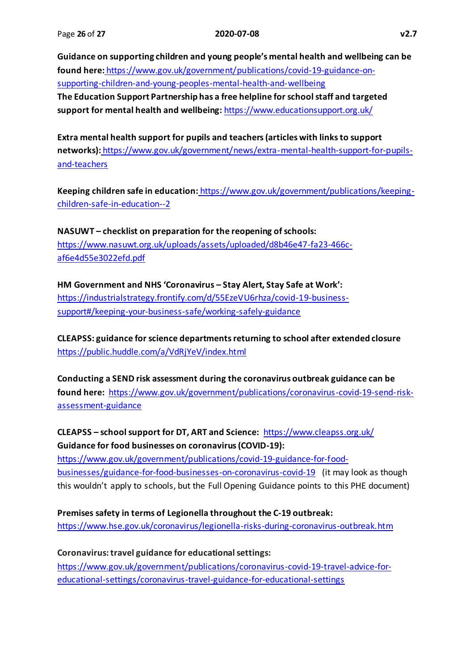**Guidance on supporting children and young people's mental health and wellbeing can be found here:** [https://www.gov.uk/government/publications/covid-19-guidance-on](https://www.gov.uk/government/publications/covid-19-guidance-on-supporting-children-and-young-peoples-mental-health-and-wellbeing)[supporting-children-and-young-peoples-mental-health-and-wellbeing](https://www.gov.uk/government/publications/covid-19-guidance-on-supporting-children-and-young-peoples-mental-health-and-wellbeing) **The Education Support Partnership has a free helpline for school staff and targeted support for mental health and wellbeing:** <https://www.educationsupport.org.uk/>

**Extra mental health support for pupils and teachers(articles with links to support networks):** [https://www.gov.uk/government/news/extra-mental-health-support-for-pupils](https://www.gov.uk/government/news/extra-mental-health-support-for-pupils-and-teachers)[and-teachers](https://www.gov.uk/government/news/extra-mental-health-support-for-pupils-and-teachers)

**Keeping children safe in education:** https://www.gov.uk/government/publications/keepingchildren-safe-in-education--2

**NASUWT – checklist on preparation for the reopening of schools:**  [https://www.nasuwt.org.uk/uploads/assets/uploaded/d8b46e47-fa23-466c](https://www.nasuwt.org.uk/uploads/assets/uploaded/d8b46e47-fa23-466c-af6e4d55e3022efd.pdf)[af6e4d55e3022efd.pdf](https://www.nasuwt.org.uk/uploads/assets/uploaded/d8b46e47-fa23-466c-af6e4d55e3022efd.pdf)

**HM Government and NHS 'Coronavirus – Stay Alert, Stay Safe at Work':** [https://industrialstrategy.frontify.com/d/55EzeVU6rhza/covid-19-business](https://industrialstrategy.frontify.com/d/55EzeVU6rhza/covid-19-business-support#/keeping-your-business-safe/working-safely-guidance)[support#/keeping-your-business-safe/working-safely-guidance](https://industrialstrategy.frontify.com/d/55EzeVU6rhza/covid-19-business-support#/keeping-your-business-safe/working-safely-guidance)

**CLEAPSS: guidance for science departments returning to school after extended closure** <https://public.huddle.com/a/VdRjYeV/index.html>

**Conducting a SEND risk assessment during the coronavirus outbreak guidance can be found here:** [https://www.gov.uk/government/publications/coronavirus-covid-19-send-risk](https://www.gov.uk/government/publications/coronavirus-covid-19-send-risk-assessment-guidance%22﷟HYPERLINK%20%22https:/www.gov.uk/government/publications/coronavirus-covid-19-send-risk-assessment-guidance)[assessment-guidance](https://www.gov.uk/government/publications/coronavirus-covid-19-send-risk-assessment-guidance%22﷟HYPERLINK%20%22https:/www.gov.uk/government/publications/coronavirus-covid-19-send-risk-assessment-guidance)

**CLEAPSS – school support for DT, ART and Science:** <https://www.cleapss.org.uk/> **Guidance for food businesses on coronavirus (COVID-19):** 

[https://www.gov.uk/government/publications/covid-19-guidance-for-food](https://www.gov.uk/government/publications/covid-19-guidance-for-food-businesses/guidance-for-food-businesses-on-coronavirus-covid-19)[businesses/guidance-for-food-businesses-on-coronavirus-covid-19](https://www.gov.uk/government/publications/covid-19-guidance-for-food-businesses/guidance-for-food-businesses-on-coronavirus-covid-19) (it may look as though this wouldn't apply to schools, but the Full Opening Guidance points to this PHE document)

**Premises safety in terms of Legionella throughout the C-19 outbreak:**  <https://www.hse.gov.uk/coronavirus/legionella-risks-during-coronavirus-outbreak.htm>

**Coronavirus: travel guidance for educational settings:**  [https://www.gov.uk/government/publications/coronavirus-covid-19-travel-advice-for](https://www.gov.uk/government/publications/coronavirus-covid-19-travel-advice-for-educational-settings/coronavirus-travel-guidance-for-educational-settings)[educational-settings/coronavirus-travel-guidance-for-educational-settings](https://www.gov.uk/government/publications/coronavirus-covid-19-travel-advice-for-educational-settings/coronavirus-travel-guidance-for-educational-settings)